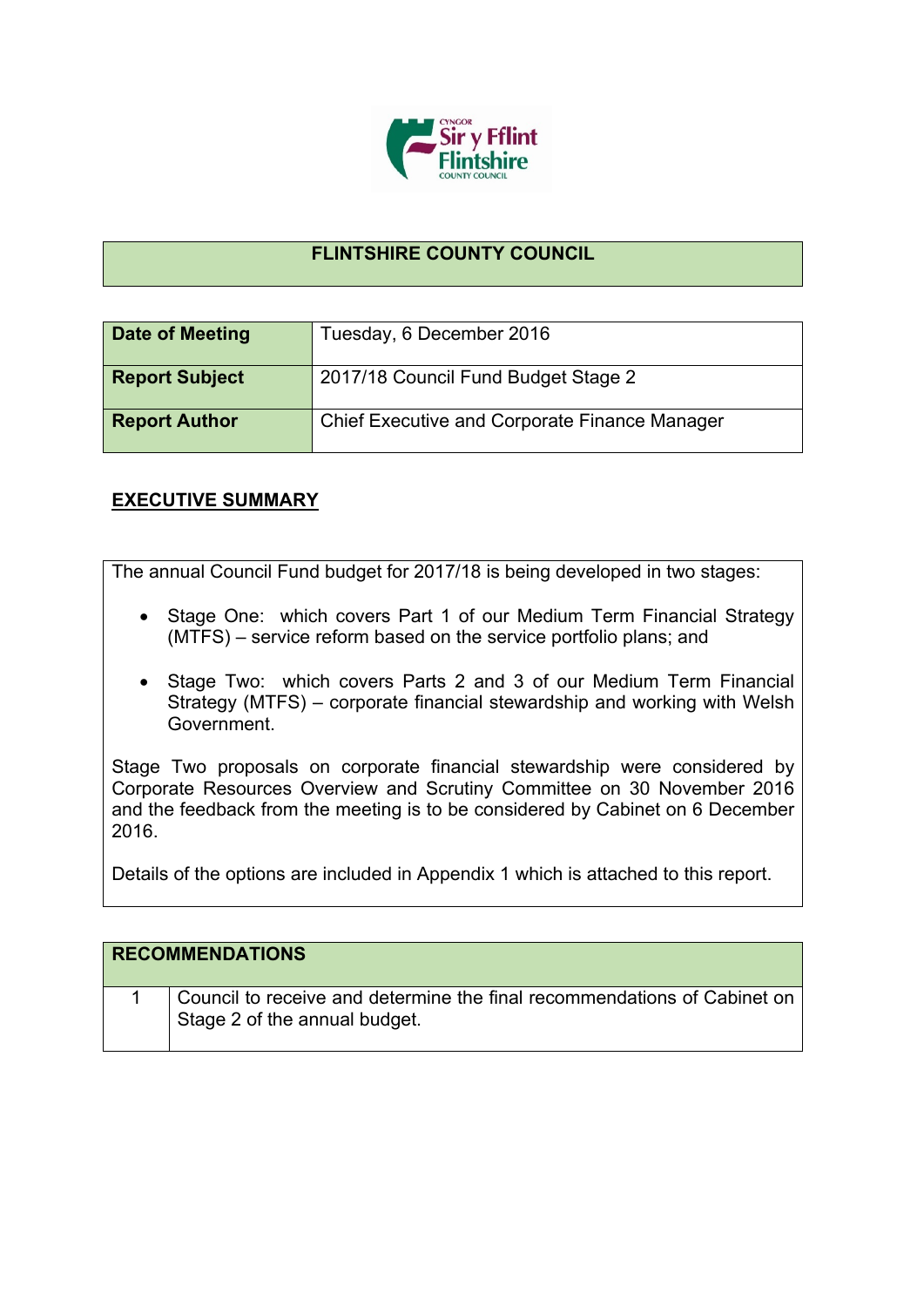

## **FLINTSHIRE COUNTY COUNCIL**

| Date of Meeting       | Tuesday, 6 December 2016                             |
|-----------------------|------------------------------------------------------|
| <b>Report Subject</b> | 2017/18 Council Fund Budget Stage 2                  |
| <b>Report Author</b>  | <b>Chief Executive and Corporate Finance Manager</b> |

## **EXECUTIVE SUMMARY**

The annual Council Fund budget for 2017/18 is being developed in two stages:

- Stage One: which covers Part 1 of our Medium Term Financial Strategy (MTFS) – service reform based on the service portfolio plans; and
- Stage Two: which covers Parts 2 and 3 of our Medium Term Financial Strategy (MTFS) – corporate financial stewardship and working with Welsh Government.

Stage Two proposals on corporate financial stewardship were considered by Corporate Resources Overview and Scrutiny Committee on 30 November 2016 and the feedback from the meeting is to be considered by Cabinet on 6 December 2016.

Details of the options are included in Appendix 1 which is attached to this report.

| <b>RECOMMENDATIONS</b>                                                                                    |
|-----------------------------------------------------------------------------------------------------------|
| Council to receive and determine the final recommendations of Cabinet on<br>Stage 2 of the annual budget. |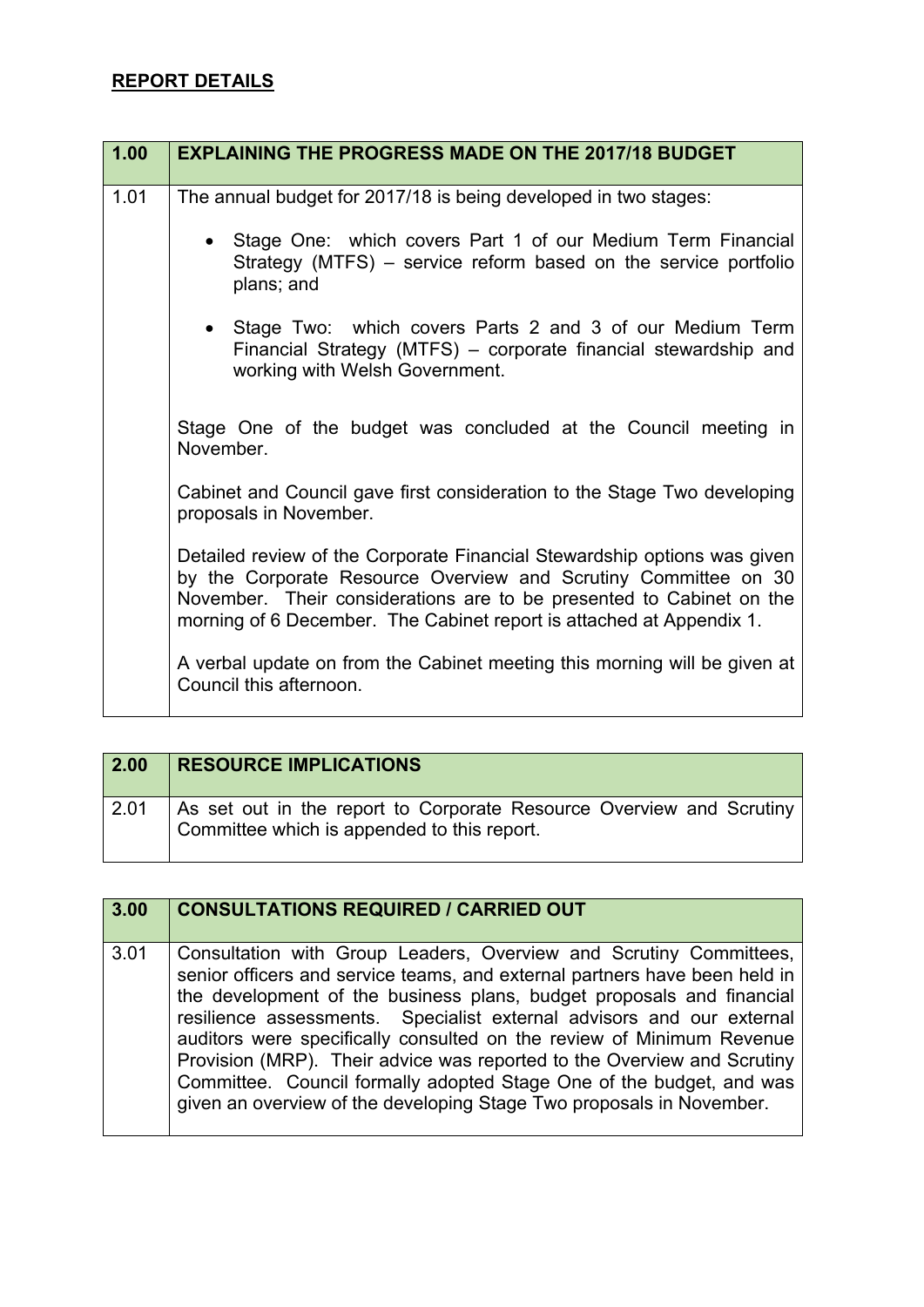## **REPORT DETAILS**

| 1.00 | <b>EXPLAINING THE PROGRESS MADE ON THE 2017/18 BUDGET</b>                                                                                                                                                                                                                                   |
|------|---------------------------------------------------------------------------------------------------------------------------------------------------------------------------------------------------------------------------------------------------------------------------------------------|
| 1.01 | The annual budget for 2017/18 is being developed in two stages:                                                                                                                                                                                                                             |
|      | • Stage One: which covers Part 1 of our Medium Term Financial<br>Strategy (MTFS) – service reform based on the service portfolio<br>plans; and                                                                                                                                              |
|      | • Stage Two: which covers Parts 2 and 3 of our Medium Term<br>Financial Strategy (MTFS) – corporate financial stewardship and<br>working with Welsh Government.                                                                                                                             |
|      | Stage One of the budget was concluded at the Council meeting in<br>November.                                                                                                                                                                                                                |
|      | Cabinet and Council gave first consideration to the Stage Two developing<br>proposals in November.                                                                                                                                                                                          |
|      | Detailed review of the Corporate Financial Stewardship options was given<br>by the Corporate Resource Overview and Scrutiny Committee on 30<br>November. Their considerations are to be presented to Cabinet on the<br>morning of 6 December. The Cabinet report is attached at Appendix 1. |
|      | A verbal update on from the Cabinet meeting this morning will be given at<br>Council this afternoon.                                                                                                                                                                                        |

| 2.00 | <b>RESOURCE IMPLICATIONS</b>                                                                                        |
|------|---------------------------------------------------------------------------------------------------------------------|
| 2.01 | As set out in the report to Corporate Resource Overview and Scrutiny<br>Committee which is appended to this report. |

| 3.00 | <b>CONSULTATIONS REQUIRED / CARRIED OUT</b>                                                                                                                                                                                                                                                                                                                                                                                                                                                                                                                                                            |
|------|--------------------------------------------------------------------------------------------------------------------------------------------------------------------------------------------------------------------------------------------------------------------------------------------------------------------------------------------------------------------------------------------------------------------------------------------------------------------------------------------------------------------------------------------------------------------------------------------------------|
| 3.01 | Consultation with Group Leaders, Overview and Scrutiny Committees,<br>senior officers and service teams, and external partners have been held in<br>the development of the business plans, budget proposals and financial<br>resilience assessments. Specialist external advisors and our external<br>auditors were specifically consulted on the review of Minimum Revenue<br>Provision (MRP). Their advice was reported to the Overview and Scrutiny<br>Committee. Council formally adopted Stage One of the budget, and was<br>given an overview of the developing Stage Two proposals in November. |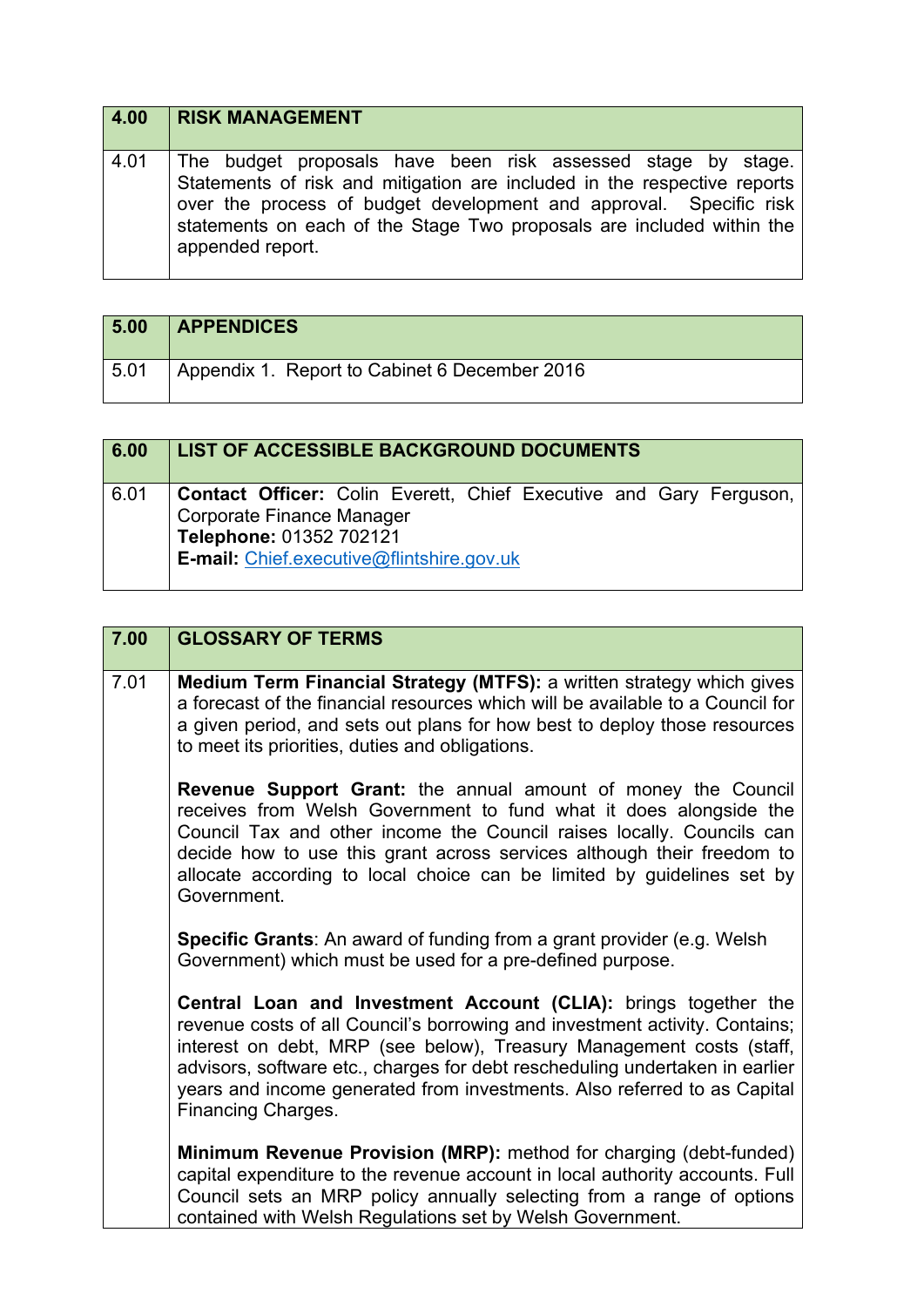| 4.00 | <b>RISK MANAGEMENT</b>                                                                                                                                                                                                                                                                                      |
|------|-------------------------------------------------------------------------------------------------------------------------------------------------------------------------------------------------------------------------------------------------------------------------------------------------------------|
| 4.01 | The budget proposals have been risk assessed stage by stage.<br>Statements of risk and mitigation are included in the respective reports<br>over the process of budget development and approval. Specific risk<br>statements on each of the Stage Two proposals are included within the<br>appended report. |

| 5.00 | <b>APPENDICES</b>                             |
|------|-----------------------------------------------|
| 5.01 | Appendix 1. Report to Cabinet 6 December 2016 |

| 6.00 | <b>LIST OF ACCESSIBLE BACKGROUND DOCUMENTS</b>                                                                                                                                        |
|------|---------------------------------------------------------------------------------------------------------------------------------------------------------------------------------------|
| 6.01 | <b>Contact Officer:</b> Colin Everett, Chief Executive and Gary Ferguson,<br>Corporate Finance Manager<br>Telephone: 01352 702121<br><b>E-mail:</b> Chief.executive@flintshire.gov.uk |

| 7.00 | <b>GLOSSARY OF TERMS</b>                                                                                                                                                                                                                                                                                                                                                                                 |
|------|----------------------------------------------------------------------------------------------------------------------------------------------------------------------------------------------------------------------------------------------------------------------------------------------------------------------------------------------------------------------------------------------------------|
| 7.01 | Medium Term Financial Strategy (MTFS): a written strategy which gives<br>a forecast of the financial resources which will be available to a Council for<br>a given period, and sets out plans for how best to deploy those resources<br>to meet its priorities, duties and obligations.                                                                                                                  |
|      | Revenue Support Grant: the annual amount of money the Council<br>receives from Welsh Government to fund what it does alongside the<br>Council Tax and other income the Council raises locally. Councils can<br>decide how to use this grant across services although their freedom to<br>allocate according to local choice can be limited by guidelines set by<br>Government.                           |
|      | <b>Specific Grants:</b> An award of funding from a grant provider (e.g. Welsh<br>Government) which must be used for a pre-defined purpose.                                                                                                                                                                                                                                                               |
|      | Central Loan and Investment Account (CLIA): brings together the<br>revenue costs of all Council's borrowing and investment activity. Contains;<br>interest on debt, MRP (see below), Treasury Management costs (staff,<br>advisors, software etc., charges for debt rescheduling undertaken in earlier<br>years and income generated from investments. Also referred to as Capital<br>Financing Charges. |
|      | Minimum Revenue Provision (MRP): method for charging (debt-funded)<br>capital expenditure to the revenue account in local authority accounts. Full<br>Council sets an MRP policy annually selecting from a range of options<br>contained with Welsh Regulations set by Welsh Government.                                                                                                                 |